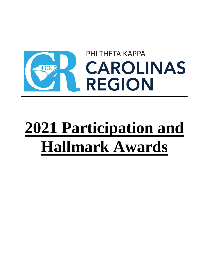

# **2021 Participation and Hallmark Awards**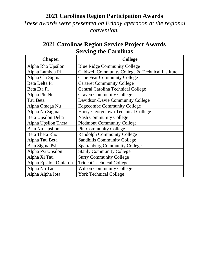## **2021 Carolinas Region Participation Awards**

*These awards were presented on Friday afternoon at the regional convention.*

## **2021 Carolinas Region Service Project Awards Serving the Carolinas**

| <b>Chapter</b>            | <b>College</b>                                   |
|---------------------------|--------------------------------------------------|
| Alpha Rho Upsilon         | <b>Blue Ridge Community College</b>              |
| Alpha Lambda Pi           | Caldwell Community College & Technical Institute |
| Alpha Chi Sigma           | <b>Cape Fear Community College</b>               |
| Beta Delta Pi             | <b>Carteret Community College</b>                |
| Beta Eta Pi               | <b>Central Carolina Technical College</b>        |
| Alpha Phi Nu              | <b>Craven Community College</b>                  |
| Tau Beta                  | Davidson-Davie Community College                 |
| Alpha Omega Nu            | <b>Edgecombe Community College</b>               |
| Alpha Nu Sigma            | Horry-Georgetown Technical College               |
| <b>Beta Upsilon Delta</b> | <b>Nash Community College</b>                    |
| Alpha Upsilon Theta       | <b>Piedmont Community College</b>                |
| Beta Nu Upsilon           | <b>Pitt Community College</b>                    |
| <b>Beta Theta Rho</b>     | <b>Randolph Community College</b>                |
| Alpha Tau Beta            | <b>Sandhills Community College</b>               |
| Beta Sigma Psi            | <b>Spartanburg Community College</b>             |
| Alpha Psi Upsilon         | <b>Stanly Community College</b>                  |
| Alpha Xi Tau              | <b>Surry Community College</b>                   |
| Alpha Epsilon Omicron     | <b>Trident Technical College</b>                 |
| Alpha Nu Tau              | <b>Wilson Community College</b>                  |
| Alpha Alpha Iota          | <b>York Technical College</b>                    |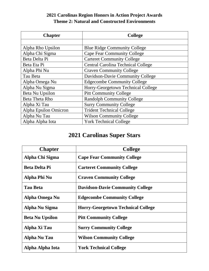## **2021 Carolinas Region Honors in Action Project Awards Theme 2: Natural and Constructed Environments**

| <b>Chapter</b>        | <b>College</b>                            |  |
|-----------------------|-------------------------------------------|--|
|                       |                                           |  |
| Alpha Rho Upsilon     | <b>Blue Ridge Community College</b>       |  |
| Alpha Chi Sigma       | <b>Cape Fear Community College</b>        |  |
| Beta Delta Pi         | <b>Carteret Community College</b>         |  |
| Beta Eta Pi           | <b>Central Carolina Technical College</b> |  |
| Alpha Phi Nu          | <b>Craven Community College</b>           |  |
| Tau Beta              | Davidson-Davie Community College          |  |
| Alpha Omega Nu        | <b>Edgecombe Community College</b>        |  |
| Alpha Nu Sigma        | Horry-Georgetown Technical College        |  |
| Beta Nu Upsilon       | <b>Pitt Community College</b>             |  |
| <b>Beta Theta Rho</b> | <b>Randolph Community College</b>         |  |
| Alpha Xi Tau          | <b>Surry Community College</b>            |  |
| Alpha Epsilon Omicron | <b>Trident Technical College</b>          |  |
| Alpha Nu Tau          | <b>Wilson Community College</b>           |  |
| Alpha Alpha Iota      | <b>York Technical College</b>             |  |

# **2021 Carolinas Super Stars**

| <b>Chapter</b>         | <b>College</b>                            |
|------------------------|-------------------------------------------|
| Alpha Chi Sigma        | <b>Cape Fear Community College</b>        |
| <b>Beta Delta Pi</b>   | <b>Carteret Community College</b>         |
| Alpha Phi Nu           | <b>Craven Community College</b>           |
| <b>Tau Beta</b>        | <b>Davidson-Davie Community College</b>   |
| Alpha Omega Nu         | <b>Edgecombe Community College</b>        |
| Alpha Nu Sigma         | <b>Horry-Georgetown Technical College</b> |
| <b>Beta Nu Upsilon</b> | <b>Pitt Community College</b>             |
| Alpha Xi Tau           | <b>Surry Community College</b>            |
| <b>Alpha Nu Tau</b>    | <b>Wilson Community College</b>           |
| Alpha Alpha Iota       | <b>York Technical College</b>             |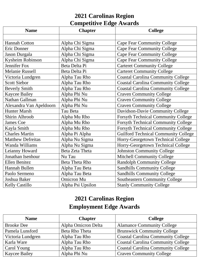## **2021 Carolinas Region Competitive Edge Awards**

| <b>Name</b>              | <b>Chapter</b>        | <b>College</b>                              |
|--------------------------|-----------------------|---------------------------------------------|
|                          |                       |                                             |
| <b>Hannah Cotton</b>     | Alpha Chi Sigma       | <b>Cape Fear Community College</b>          |
| <b>Eric Donner</b>       | Alpha Chi Sigma       | <b>Cape Fear Community College</b>          |
| Jason Durgala            | Alpha Chi Sigma       | <b>Cape Fear Community College</b>          |
| Kysheim Robinson         | Alpha Chi Sigma       | <b>Cape Fear Community College</b>          |
| <b>Jennifer Fox</b>      | Beta Delta Pi         | <b>Carteret Community College</b>           |
| <b>Melanie Russell</b>   | Beta Delta Pi         | <b>Carteret Community College</b>           |
| Victoria Lundgren        | Alpha Tau Rho         | <b>Coastal Carolina Community College</b>   |
| <b>Scott Siebor</b>      | Alpha Tau Rho         | <b>Coastal Carolina Community College</b>   |
| <b>Beverly Smith</b>     | Alpha Tau Rho         | <b>Coastal Carolina Community College</b>   |
| <b>Kaycee Bailey</b>     | Alpha Phi Nu          | <b>Craven Community College</b>             |
| Nathan Gallman           | Alpha Phi Nu          | <b>Craven Community College</b>             |
| Alexandra Van Apeldoorn  | Alpha Phi Nu          | <b>Craven Community College</b>             |
| <b>Hunter Marsh</b>      | Tau Beta              | Davidson-Davie Community College            |
| Shirin Alhroob           | Alpha Mu Rho          | <b>Forsyth Technical Community College</b>  |
| <b>James Coe</b>         | Alpha Mu Rho          | <b>Forsyth Technical Community College</b>  |
| Kayla Smith              | Alpha Mu Rho          | <b>Forsyth Technical Community College</b>  |
| <b>Charles Martin</b>    | Alpha Pi Alpha        | <b>Guilford Technical Community College</b> |
| <b>Matthew Defreitas</b> | Alpha Nu Sigma        | Horry-Georgetown Technical College          |
| Wanda Williams           | Alpha Nu Sigma        | Horry-Georgetown Technical College          |
| Leianny Howard           | Beta Zeta Theta       | <b>Johnston Community College</b>           |
| Jonathan Isenhour        | Nu Tau                | <b>Mitchell Community College</b>           |
| <b>Ellen Benitez</b>     | <b>Beta Theta Rho</b> | <b>Randolph Community College</b>           |
| Hannah Bullen            | Alpha Tau Beta        | <b>Sandhills Community College</b>          |
| Paolo Sermeno            | Alpha Tau Beta        | <b>Sandhills Community College</b>          |
| Joshua Baker             | <b>Omicron Mu</b>     | <b>Southeastern Community College</b>       |
| <b>Kelly Castillo</b>    | Alpha Psi Upsilon     | <b>Stanly Community College</b>             |

# **2021 Carolinas Region Employment Edge Awards**

| <b>Name</b>          | <b>Chapter</b>      | <b>College</b>                            |
|----------------------|---------------------|-------------------------------------------|
| <b>Brooke Dee</b>    | Alpha Omicron Delta | <b>Alamance Community College</b>         |
| Pamela Lunsford      | Beta Rho Theta      | <b>Brunswick Community College</b>        |
| Victoria Lundgren    | Alpha Tau Rho       | <b>Coastal Carolina Community College</b> |
| Karla Ware           | Alpha Tau Rho       | <b>Coastal Carolina Community College</b> |
| Carol Young          | Alpha Tau Rho       | <b>Coastal Carolina Community College</b> |
| <b>Kaycee Bailey</b> | Alpha Phi Nu        | <b>Craven Community College</b>           |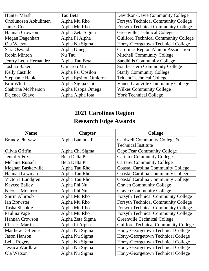| <b>Hunter Marsh</b>         | Tau Beta              | Davidson-Davie Community College            |
|-----------------------------|-----------------------|---------------------------------------------|
| <b>Onolunosen Abhulimen</b> | Alpha Mu Rho          | <b>Forsyth Technical Community College</b>  |
| James Coe                   | Alpha Mu Rho          | <b>Forsyth Technical Community College</b>  |
| <b>Hannah Crowson</b>       | Alpha Zeta Sigma      | Greenville Technical College                |
| <b>Megan Dagenhart</b>      | Alpha Pi Alpha        | <b>Guilford Technical Community College</b> |
| Ola Watson                  | Alpha Nu Sigma        | Horry-Georgetown Technical College          |
| Sara Oswald                 | Alpha Omega           | Carolinas Region Alumni Association         |
| <b>Robin Minton</b>         | Nu Tau                | Mitchell Community College                  |
| Jenrry Leon-Hernandez       | Alpha Tau Beta        | <b>Sandhills Community College</b>          |
| Joshua Baker                | <b>Omicron</b> Mu     | <b>Southeastern Community College</b>       |
| <b>Kelly Castillo</b>       | Alpha Psi Upsilon     | <b>Stanly Community College</b>             |
| Stephanie Hable             | Alpha Epsilon Omicron | <b>Trident Technical College</b>            |
| Erin Whitt                  | Alpha Sigma Chi       | <b>Vance-Granville Community College</b>    |
| Shabrina McPherson          | Alpha Kappa Omega     | <b>Wilkes Community College</b>             |
| Dejenee Gbaye               | Alpha Alpha Iota      | <b>York Technical College</b>               |

# **2021 Carolinas Region**

# **Research Edge Awards**

| <b>Name</b>              | <b>Chapter</b>   | <b>College</b>                              |
|--------------------------|------------------|---------------------------------------------|
| <b>Brandy Philyaw</b>    | Alpha Lambda Pi  | Caldwell Community College &                |
|                          |                  | <b>Technical Institute</b>                  |
| Olivia Griffin           | Alpha Chi Sigma  | <b>Cape Fear Community College</b>          |
| Jennifer Fox             | Beta Delta Pi    | <b>Carteret Community College</b>           |
| <b>Melanie Russell</b>   | Beta Delta Pi    | <b>Carteret Community College</b>           |
| Meghan Baskerville       | Alpha Tau Rho    | <b>Coastal Carolina Community College</b>   |
| Hannah Lowman            | Alpha Tau Rho    | <b>Coastal Carolina Community College</b>   |
| Victoria Lundgren        | Alpha Tau Rho    | <b>Coastal Carolina Community College</b>   |
| <b>Kaycee Bailey</b>     | Alpha Phi Nu     | <b>Craven Community College</b>             |
| <b>Nicolas Montero</b>   | Alpha Phi Nu     | <b>Craven Community College</b>             |
| <b>Shirin Alhroob</b>    | Alpha Mu Rho     | <b>Forsyth Technical Community College</b>  |
| <b>Ian Brewster</b>      | Alpha Mu Rho     | <b>Forsyth Technical Community College</b>  |
| Tasha Shankle            | Alpha Mu Rho     | <b>Forsyth Technical Community College</b>  |
| Paulina Page             | Alpha Mu Rho     | <b>Forsyth Technical Community College</b>  |
| Hannah Crowson           | Alpha Zeta Sigma | Greenville Technical College                |
| <b>Charles Martin</b>    | Alpha Pi Alpha   | <b>Guilford Technical Community College</b> |
| <b>Matthew Defreitas</b> | Alpha Nu Sigma   | Horry-Georgetown Technical College          |
| <b>Jason Hanson</b>      | Alpha Nu Sigma   | Horry-Georgetown Technical College          |
| Leila Rogers             | Alpha Nu Sigma   | Horry-Georgetown Technical College          |
| Jessica Wardlaw          | Alpha Nu Sigma   | Horry-Georgetown Technical College          |
| Ola Watson               | Alpha Nu Sigma   | Horry-Georgetown Technical College          |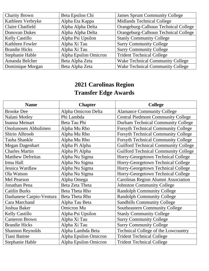| <b>Charity Brown</b>    | Beta Epsilon Chi      | <b>James Sprunt Community College</b>   |
|-------------------------|-----------------------|-----------------------------------------|
| Kathleen Verbryke       | Alpha Eta Kappa       | <b>Midlands Technical College</b>       |
| <b>Claire Chatfield</b> | Alpha Alpha Delta     | Orangeburg-Calhoun Technical College    |
| Donovan Dukes           | Alpha Alpha Delta     | Orangeburg-Calhoun Technical College    |
| <b>Kelly Castillo</b>   | Alpha Psi Upsilon     | <b>Stanly Community College</b>         |
| Kathleen Fowler         | Alpha Xi Tau          | <b>Surry Community College</b>          |
| <b>Brandie Hicks</b>    | Alpha Xi Tau          | <b>Surry Community College</b>          |
| <b>Stephanie Hable</b>  | Alpha Epsilon Omicron | <b>Trident Technical College</b>        |
| Amanda Belcher          | Beta Alpha Zeta       | <b>Wake Technical Community College</b> |
| Dominique Morgan        | Beta Alpha Zeta       | <b>Wake Technical Community College</b> |

# **2021 Carolinas Region Transfer Edge Awards**

| <b>Name</b>              | <b>Chapter</b>        | <b>College</b>                              |
|--------------------------|-----------------------|---------------------------------------------|
| <b>Brooke Dee</b>        | Alpha Omicron Delta   | <b>Alamance Community College</b>           |
| Nalani Motley            | Phi Lambda            | <b>Central Piedmont Community College</b>   |
| <b>Inanna Meinart</b>    | Beta Tau Phi          | <b>Durham Technical Community College</b>   |
| Onolunosen Abhulimen     | Alpha Mu Rho          | <b>Forsyth Technical Community College</b>  |
| <b>Shirin Alhroob</b>    | Alpha Mu Rho          | <b>Forsyth Technical Community College</b>  |
| <b>Tasha Shankle</b>     | Alpha Mu Rho          | <b>Forsyth Technical Community College</b>  |
| <b>Megan Dagenhart</b>   | Alpha Pi Alpha        | <b>Guilford Technical Community College</b> |
| <b>Charles Martin</b>    | Alpha Pi Alpha        | <b>Guilford Technical Community College</b> |
| <b>Matthew Defreitas</b> | Alpha Nu Sigma        | Horry-Georgetown Technical College          |
| Irma Hall                | Alpha Nu Sigma        | Horry-Georgetown Technical College          |
| Jessica Wardlaw          | Alpha Nu Sigma        | Horry-Georgetown Technical College          |
| Ola Watson               | Alpha Nu Sigma        | Horry-Georgetown Technical College          |
| <b>Mel Pearson</b>       | Alpha Omega           | Carolinas Region Alumni Association         |
| Jonathan Pena            | Beta Zeta Theta       | <b>Johnston Community College</b>           |
| <b>Caitlin Burks</b>     | Beta Theta Rho        | <b>Randolph Community College</b>           |
| Dashanese Carpio-Ventura | Beta Theta Rho        | <b>Randolph Community College</b>           |
| Cara Marchand            | Alpha Tau Beta        | <b>Sandhills Community College</b>          |
| Joshua Baker             | <b>Omicron</b> Mu     | <b>Southeastern Community College</b>       |
| Kelly Castillo           | Alpha Psi Upsilon     | <b>Stanly Community College</b>             |
| <b>Cameron Brown</b>     | Alpha Xi Tau          | <b>Surry Community College</b>              |
| <b>Brandie Hicks</b>     | Alpha Xi Tau          | <b>Surry Community College</b>              |
| <b>Shannon Reynolds</b>  | Alpha Lambda Beta     | Technical College of the Lowcountry         |
| <b>Tiani Batiste</b>     | Alpha Epsilon Omicron | <b>Trident Technical College</b>            |
| Stephanie Hable          | Alpha Epsilon Omicron | <b>Trident Technical College</b>            |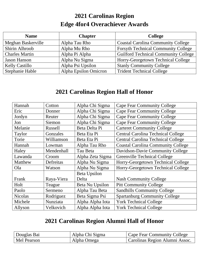# **2021 Carolinas Region Edge 4for4 Overachiever Awards**

| <b>Name</b>           | <b>Chapter</b>        | <b>College</b>                              |
|-----------------------|-----------------------|---------------------------------------------|
| Meghan Baskerville    | Alpha Tau Rho         | <b>Coastal Carolina Community College</b>   |
| Shirin Alhroob        | Alpha Mu Rho          | <b>Forsyth Technical Community College</b>  |
| <b>Charles Martin</b> | Alpha Pi Alpha        | <b>Guilford Technical Community College</b> |
| <b>Jason Hanson</b>   | Alpha Nu Sigma        | Horry-Georgetown Technical College          |
| <b>Kelly Castillo</b> | Alpha Psi Upsilon     | <b>Stanly Community College</b>             |
| Stephanie Hable       | Alpha Epsilon Omicron | <b>Trident Technical College</b>            |

# **2021 Carolinas Region Hall of Honor**

| Hannah         | Cotton     | Alpha Chi Sigma     | <b>Cape Fear Community College</b>        |
|----------------|------------|---------------------|-------------------------------------------|
| Eric           | Donner     | Alpha Chi Sigma     | <b>Cape Fear Community College</b>        |
| Jordyn         | Reuter     | Alpha Chi Sigma     | <b>Cape Fear Community College</b>        |
| Jon            | Siemon     | Alpha Chi Sigma     | <b>Cape Fear Community College</b>        |
| Melanie        | Russell    | Beta Delta Pi       | <b>Carteret Community College</b>         |
| Taylor         | Gonzales   | Beta Eta Pi         | <b>Central Carolina Technical College</b> |
| Torie          | Williamson | Beta Eta Pi         | <b>Central Carolina Technical College</b> |
| Hannah         | Lowman     | Alpha Tau Rho       | <b>Coastal Carolina Community College</b> |
| Haley          | Mendenhall | Tau Beta            | Davidson-Davie Community College          |
| Lawanda        | Croom      | Alpha Zeta Sigma    | Greenville Technical College              |
| Matthew        | Defreitas  | Alpha Nu Sigma      | Horry-Georgetown Technical College        |
| Ola            | Watson     | Alpha Nu Sigma      | Horry-Georgetown Technical College        |
|                |            | <b>Beta Upsilon</b> |                                           |
| Frank          | Raya-Viera | Delta               | <b>Nash Community College</b>             |
| Holt           | Teague     | Beta Nu Upsilon     | <b>Pitt Community College</b>             |
| Paolo          | Sermeno    | Alpha Tau Beta      | <b>Sandhills Community College</b>        |
| <b>Nicolas</b> | Rodriguez  | Beta Sigma Psi      | <b>Spartanburg Community College</b>      |
| Michele        | Nunziata   | Alpha Alpha Iota    | <b>York Technical College</b>             |
| Allyson        | Velkovich  | Alpha Alpha Iota    | <b>York Technical College</b>             |

# **2021 Carolinas Region Alumni Hall of Honor**

| Douglas Bai | Alpha Chi Sigma | Cape Fear Community College    |
|-------------|-----------------|--------------------------------|
| Mel Pearson | Alpha Omega     | Carolinas Region Alumni Assoc. |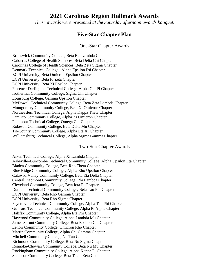## **2021 Carolinas Region Hallmark Awards**

*These awards were presented at the Saturday afternoon awards banquet.*

## **Five-Star Chapter Plan**

#### One-Star Chapter Awards

Brunswick Community College, Beta Eta Lambda Chapter Cabarrus College of Health Sciences, Beta Delta Chi Chapter Carolinas College of Health Sciences, Beta Zeta Sigma Chapter Denmark Technical College, Alpha Epsilon Psi Chapter ECPI University, Beta Omicron Epsilon Chapter ECPI University, Beta Pi Zeta Chapter ECPI University, Beta Xi Epsilon Chapter Florence-Darlington Technical College, Alpha Chi Pi Chapter Isothermal Community College, Sigma Chi Chapter Louisburg College, Gamma Upsilon Chapter McDowell Technical Community College, Beta Zeta Lambda Chapter Montgomery Community College, Beta Xi Omicron Chapter Northeastern Technical College, Alpha Kappa Theta Chapter Pamlico Community College, Alpha Xi Omicron Chapter Piedmont Technical College, Omega Chi Chapter Robeson Community College, Beta Delta Mu Chapter Tri-County Community College, Alpha Eta Xi Chapter Williamsburg Technical College, Alpha Sigma Gamma Chapter

#### Two-Star Chapter Awards

Aiken Technical College, Alpha Xi Lambda Chapter Asheville–Buncombe Technical Community College, Alpha Upsilon Eta Chapter Bladen Community College, Beta Rho Theta Chapter Blue Ridge Community College, Alpha Rho Upsilon Chapter Catawba Valley Community College, Beta Eta Delta Chapter Central Piedmont Community College, Phi Lambda Chapter Cleveland Community College, Beta Iota Pi Chapter Durham Technical Community College, Beta Tau Phi Chapter ECPI University, Beta Rho Gamma Chapter ECPI University, Beta Rho Sigma Chapter Fayetteville Technical Community College, Alpha Tau Phi Chapter Guilford Technical Community College, Alpha Pi Alpha Chapter Halifax Community College, Alpha Eta Phi Chapter Haywood Community College, Alpha Lambda Mu Chapter James Sprunt Community College, Beta Epsilon Chi Chapter Lenoir Community College, Omicron Rho Chapter Martin Community College, Alpha Chi Gamma Chapter Mitchell Community College, Nu Tau Chapter Richmond Community College, Beta Nu Sigma Chapter Roanoke-Chowan Community College, Beta Nu Mu Chapter Rockingham Community College, Alpha Kappa Pi Chapter Sampson Community College, Beta Theta Zeta Chapter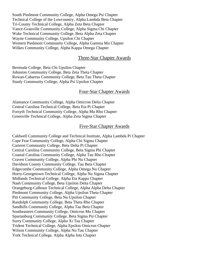South Piedmont Community College, Alpha Omega Psi Chapter Technical College of the Lowcountry, Alpha Lambda Beta Chapter Tri-County Technical College, Alpha Zeta Beta Chapter Vance-Granville Community College, Alpha Sigma Chi Chapter Wake Technical Community College, Beta Alpha Zeta Chapter Wayne Community College, Upsilon Chi Chapter Western Piedmont Community College, Alpha Gamma Mu Chapter Wilkes Community College, Alpha Kappa Omega Chapter

#### Three-Star Chapter Awards

Bermuda College, Beta Chi Upsilon Chapter Johnston Community College, Beta Zeta Theta Chapter Rowan-Cabarrus Community College, Beta Tau Theta Chapter Stanly Community College, Alpha Psi Upsilon Chapter

#### Four-Star Chapter Awards

Alamance Community College, Alpha Omicron Delta Chapter Central Carolina Technical College, Beta Eta Pi Chapter Forsyth Technical Community College, Alpha Mu Rho Chapter Greenville Technical College, Alpha Zeta Sigma Chapter

#### Five-Star Chapter Awards

Caldwell Community College and Technical Institute, Alpha Lambda Pi Chapter Cape Fear Community College, Alpha Chi Sigma Chapter Carteret Community College, Beta Delta Pi Chapter Central Carolina Community College, Beta Sigma Phi Chapter Coastal Carolina Community College, Alpha Tau Rho Chapter Craven Community College, Alpha Phi Nu Chapter Davidson County Community College, Tau Beta Chapter Edgecombe Community College, Alpha Omega Nu Chapter Horry-Georgetown Technical College, Alpha Nu Sigma Chapter Midlands Technical College, Alpha Eta Kappa Chapter Nash Community College, Beta Upsilon Delta Chapter Orangeburg-Calhoun Technical College, Alpha Alpha Delta Chapter Piedmont Community College, Alpha Upsilon Theta Chapter Pitt Community College, Beta Nu Upsilon Chapter Randolph Community College, Beta Theta Rho Chapter Sandhills Community College, Alpha Tau Beta Chapter Southeastern Community College, Omicron Mu Chapter Spartanburg Community College, Beta Sigma Psi Chapter Surry Community College, Alpha Xi Tau Chapter Trident Technical College, Alpha Epsilon Omicron Chapter Wilson Community College, Alpha Nu Tau Chapter York Technical College, Alpha Alpha Iota Chapter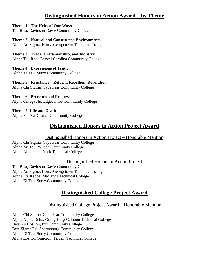## **Distinguished Honors in Action Award – by Theme**

#### **Theme 1: The Heirs of Our Ways**

Tau Beta, Davidson-Davie Community College

#### **Theme 2: Natural and Constructed Environments**

Alpha Nu Sigma, Horry-Georgetown Technical College

#### **Theme 3: Trade, Craftsmanship, and Industry**

Alpha Tau Rho, Coastal Carolina Community College

#### **Theme 4: Expressions of Truth** Alpha Xi Tau, Surry Community College

#### **Theme 5: Resistance – Reform, Rebellion, Revolution** Alpha Chi Sigma, Cape Fear Community College

#### **Theme 6: Perception of Progress** Alpha Omega Nu, Edgecombe Community College

**Theme 7: Life and Death** Alpha Phi Nu, Craven Community College

## **Distinguished Honors in Action Project Award**

#### Distinguished Honors in Action Project – Honorable Mention

Alpha Chi Sigma, Cape Fear Community College Alpha Nu Tau, Wilson Community College Alpha Alpha Iota, York Technical College

#### Distinguished Honors in Action Project

Tau Beta, Davidson-Davie Community College Alpha Nu Sigma, Horry-Georgetown Technical College Alpha Eta Kappa, Midlands Technical College Alpha Xi Tau, Surry Community College

## **Distinguished College Project Award**

#### Distinguished College Project Award – Honorable Mention

Alpha Chi Sigma, Cape Fear Community College Alpha Alpha Delta, Orangeburg-Calhoun Technical College Beta Nu Upsilon, Pitt Community College Beta Sigma Psi, Spartanburg Community College Alpha Xi Tau, Surry Community College Alpha Epsilon Omicron, Trident Technical College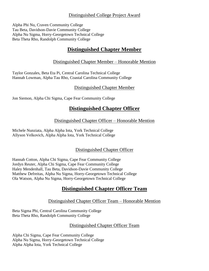#### Distinguished College Project Award

Alpha Phi Nu, Craven Community College Tau Beta, Davidson-Davie Community College Alpha Nu Sigma, Horry-Georgetown Technical College Beta Theta Rho, Randolph Community College

## **Distinguished Chapter Member**

### Distinguished Chapter Member – Honorable Mention

Taylor Gonzales, Beta Eta Pi, Central Carolina Technical College Hannah Lowman, Alpha Tau Rho, Coastal Carolina Community College

#### Distinguished Chapter Member

Jon Siemon, Alpha Chi Sigma, Cape Fear Community College

## **Distinguished Chapter Officer**

#### Distinguished Chapter Officer – Honorable Mention

Michele Nunziata, Alpha Alpha Iota, York Technical College Allyson Velkovich, Alpha Alpha Iota, York Technical College

#### Distinguished Chapter Officer

Hannah Cotton, Alpha Chi Sigma, Cape Fear Community College Jordyn Reuter, Alpha Chi Sigma, Cape Fear Community College Haley Mendenhall, Tau Beta, Davidson-Davie Community College Matthew Defreitas, Alpha Nu Sigma, Horry-Georgetown Technical College Ola Watson, Alpha Nu Sigma, Horry-Georgetown Technical College

## **Distinguished Chapter Officer Team**

#### Distinguished Chapter Officer Team – Honorable Mention

Beta Sigma Phi, Central Carolina Community College Beta Theta Rho, Randolph Community College

#### Distinguished Chapter Officer Team

Alpha Chi Sigma, Cape Fear Community College Alpha Nu Sigma, Horry-Georgetown Technical College Alpha Alpha Iota, York Technical College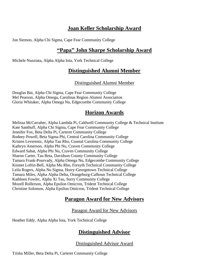## **Joan Keller Scholarship Award**

Jon Siemon, Alpha Chi Sigma, Cape Fear Community College

## **"Papa" John Sharpe Scholarship Award**

Michele Nunziata, Alpha Alpha Iota, York Technical College

## **Distinguished Alumni Member**

#### Distinguished Alumni Member

Douglas Bai, Alpha Chi Sigma, Cape Fear Community College Mel Pearson, Alpha Omega, Carolinas Region Alumni Association Gloria Whitaker, Alpha Omega Nu, Edgecombe Community College

## **Horizon Awards**

Melissa McCarraher, Alpha Lambda Pi, Caldwell Community College & Technical Institute Kate Santhuff, Alpha Chi Sigma, Cape Fear Community College Jennifer Fox, Beta Delta Pi, Carteret Community College Rodney Powell, Beta Sigma Phi, Central Carolina Community College Kristen Leverentz, Alpha Tau Rho, Coastal Carolina Community College Kathryn Amerson, Alpha Phi Nu, Craven Community College Edward Sabat, Alpha Phi Nu, Craven Community College Sharon Carter, Tau Beta, Davidson County Community College Tamara Frank-Pourvady, Alpha Omega Nu, Edgecombe Community College Kismet Loftin-Bell, Alpha Mu Rho, Forsyth Technical Community College Leila Rogers, Alpha Nu Sigma, Horry-Georgetown Technical College Tamara Miles, Alpha Alpha Delta, Orangeburg-Calhoun Technical College Kathleen Fowler, Alpha Xi Tau, Surry Community College Mozell Rollerson, Alpha Epsilon Omicron, Trident Technical College Christine Solomon, Alpha Epsilon Omicron, Trident Technical College

## **Paragon Award for New Advisors**

#### Paragon Award for New Advisors

Heather Eddy, Alpha Alpha Iota, York Technical College

## **Distinguished Advisor**

Distinguished Advisor Award

Trisha Miller, Beta Delta Pi, Carteret Community College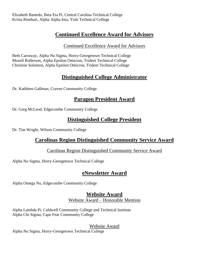## **Continued Excellence Award for Advisors**

## Continued Excellence Award for Advisors

Beth Carraway, Alpha Nu Sigma, Horry-Georgetown Technical College Mozell Rollerson, Alpha Epsilon Omicron, Trident Technical College Christine Solomon, Alpha Epsilon Omicron, Trident Technical College

## **Distinguished College Administrator**

Dr. Kathleen Gallman, Craven Community College

## **Paragon President Award**

Dr. Greg McLeod, Edgecombe Community College

## **Distinguished College President**

Dr. Tim Wright, Wilson Community College

## **Carolinas Region Distinguished Community Service Award**

## Carolinas Region Distinguished Community Service Award

Alpha Nu Sigma, Horry-Georgetown Technical College

## **eNewsletter Award**

Alpha Omega Nu, Edgecombe Community College

## **Website Award** Website Award – Honorable Mention

Alpha Lambda Pi, Caldwell Community College and Technical Institute Alpha Chi Sigma, Cape Fear Community College

Website Award

Alpha Nu Sigma, Horry-Georgetown Technical College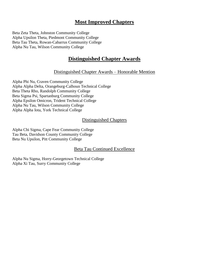## **Most Improved Chapters**

Beta Zeta Theta, Johnston Community College Alpha Upsilon Theta, Piedmont Community College Beta Tau Theta, Rowan-Cabarrus Community College Alpha Nu Tau, Wilson Community College

## **Distinguished Chapter Awards**

#### Distinguished Chapter Awards – Honorable Mention

Alpha Phi Nu, Craven Community College Alpha Alpha Delta, Orangeburg-Calhoun Technical College Beta Theta Rho, Randolph Community College Beta Sigma Psi, Spartanburg Community College Alpha Epsilon Omicron, Trident Technical College Alpha Nu Tau, Wilson Community College Alpha Alpha Iota, York Technical College

#### Distinguished Chapters

Alpha Chi Sigma, Cape Fear Community College Tau Beta, Davidson County Community College Beta Nu Upsilon, Pitt Community College

#### Beta Tau Continued Excellence

Alpha Nu Sigma, Horry-Georgetown Technical College Alpha Xi Tau, Surry Community College